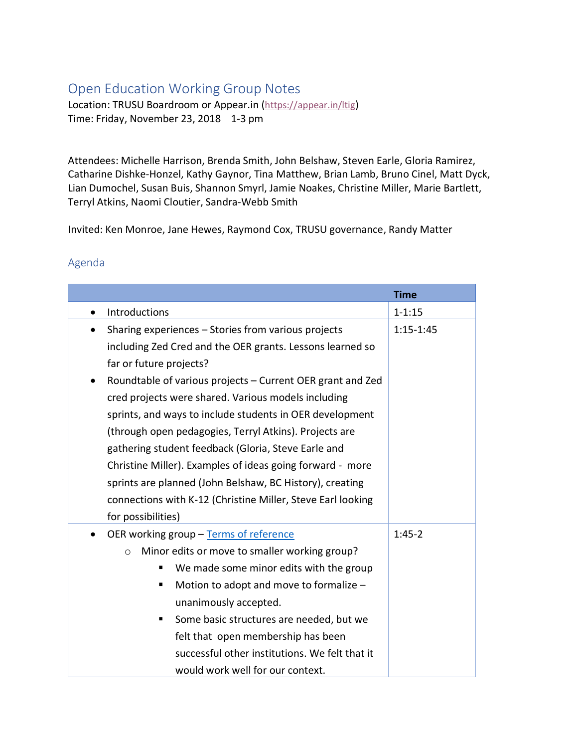## Open Education Working Group Notes

Location: TRUSU Boardroom or Appear.in [\(https://appear.in/ltig\)](https://appear.in/ltig) Time: Friday, November 23, 2018 1-3 pm

Attendees: Michelle Harrison, Brenda Smith, John Belshaw, Steven Earle, Gloria Ramirez, Catharine Dishke-Honzel, Kathy Gaynor, Tina Matthew, Brian Lamb, Bruno Cinel, Matt Dyck, Lian Dumochel, Susan Buis, Shannon Smyrl, Jamie Noakes, Christine Miller, Marie Bartlett, Terryl Atkins, Naomi Cloutier, Sandra-Webb Smith

Invited: Ken Monroe, Jane Hewes, Raymond Cox, TRUSU governance, Randy Matter

## Agenda

|                                                                                                                                                                                                                                                                                                                                                                                                                                                                                                                           | <b>Time</b>   |
|---------------------------------------------------------------------------------------------------------------------------------------------------------------------------------------------------------------------------------------------------------------------------------------------------------------------------------------------------------------------------------------------------------------------------------------------------------------------------------------------------------------------------|---------------|
| Introductions<br>$\bullet$                                                                                                                                                                                                                                                                                                                                                                                                                                                                                                | $1 - 1:15$    |
| Sharing experiences - Stories from various projects<br>$\bullet$                                                                                                                                                                                                                                                                                                                                                                                                                                                          | $1:15 - 1:45$ |
| including Zed Cred and the OER grants. Lessons learned so<br>far or future projects?                                                                                                                                                                                                                                                                                                                                                                                                                                      |               |
| Roundtable of various projects - Current OER grant and Zed<br>$\bullet$<br>cred projects were shared. Various models including<br>sprints, and ways to include students in OER development<br>(through open pedagogies, Terryl Atkins). Projects are<br>gathering student feedback (Gloria, Steve Earle and<br>Christine Miller). Examples of ideas going forward - more<br>sprints are planned (John Belshaw, BC History), creating<br>connections with K-12 (Christine Miller, Steve Earl looking<br>for possibilities) |               |
| OER working group - Terms of reference<br>Minor edits or move to smaller working group?<br>$\circ$<br>We made some minor edits with the group<br>Motion to adopt and move to formalize -<br>unanimously accepted.<br>Some basic structures are needed, but we<br>٠<br>felt that open membership has been<br>successful other institutions. We felt that it<br>would work well for our context.                                                                                                                            | $1:45-2$      |